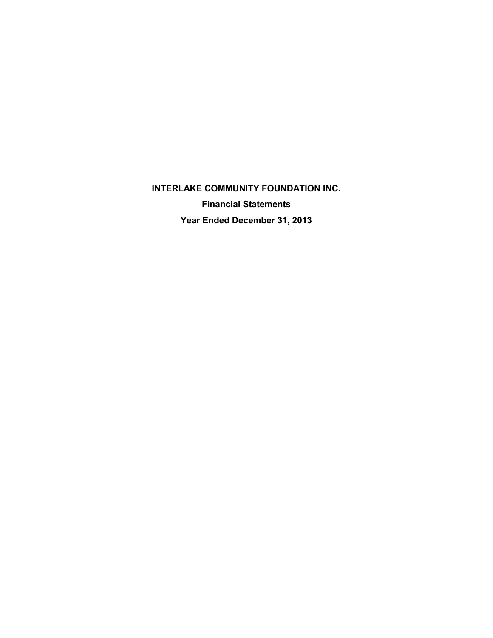**Financial Statements Year Ended December 31, 2013**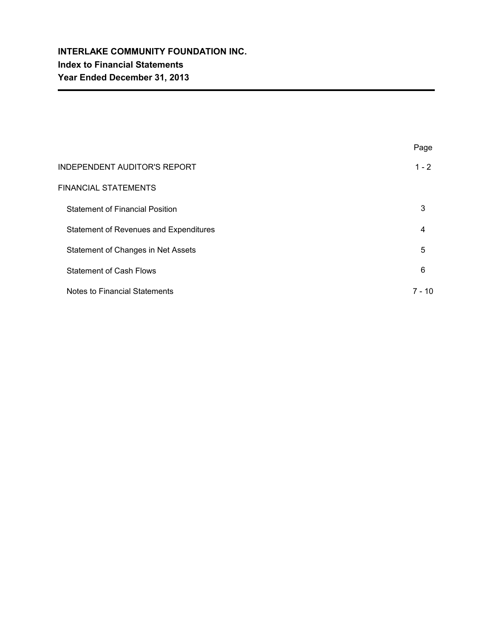|                                        | Page     |
|----------------------------------------|----------|
| <b>INDEPENDENT AUDITOR'S REPORT</b>    | $1 - 2$  |
| FINANCIAL STATEMENTS                   |          |
| <b>Statement of Financial Position</b> | 3        |
| Statement of Revenues and Expenditures | 4        |
| Statement of Changes in Net Assets     | 5        |
| <b>Statement of Cash Flows</b>         | 6        |
| <b>Notes to Financial Statements</b>   | $7 - 10$ |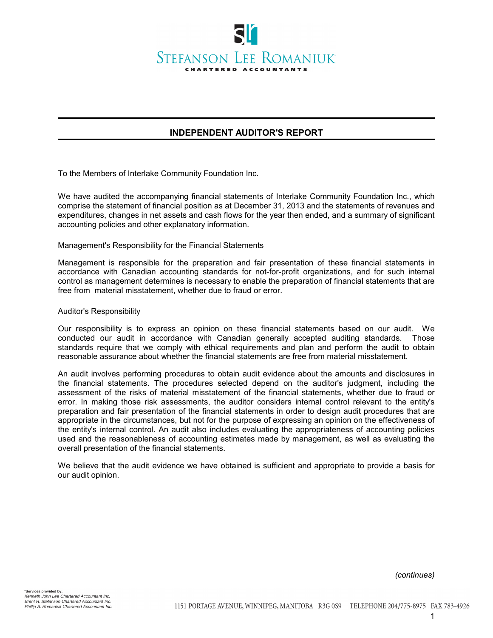

# **INDEPENDENT AUDITOR'S REPORT**

To the Members of Interlake Community Foundation Inc.

We have audited the accompanying financial statements of Interlake Community Foundation Inc., which comprise the statement of financial position as at December 31, 2013 and the statements of revenues and expenditures, changes in net assets and cash flows for the year then ended, and a summary of significant accounting policies and other explanatory information.

#### Management's Responsibility for the Financial Statements

Management is responsible for the preparation and fair presentation of these financial statements in accordance with Canadian accounting standards for not-for-profit organizations, and for such internal control as management determines is necessary to enable the preparation of financial statements that are free from material misstatement, whether due to fraud or error.

#### Auditor's Responsibility

Our responsibility is to express an opinion on these financial statements based on our audit. We conducted our audit in accordance with Canadian generally accepted auditing standards. Those standards require that we comply with ethical requirements and plan and perform the audit to obtain reasonable assurance about whether the financial statements are free from material misstatement.

An audit involves performing procedures to obtain audit evidence about the amounts and disclosures in the financial statements. The procedures selected depend on the auditor's judgment, including the assessment of the risks of material misstatement of the financial statements, whether due to fraud or error. In making those risk assessments, the auditor considers internal control relevant to the entity's preparation and fair presentation of the financial statements in order to design audit procedures that are appropriate in the circumstances, but not for the purpose of expressing an opinion on the effectiveness of the entity's internal control. An audit also includes evaluating the appropriateness of accounting policies used and the reasonableness of accounting estimates made by management, as well as evaluating the overall presentation of the financial statements.

We believe that the audit evidence we have obtained is sufficient and appropriate to provide a basis for our audit opinion.

*(continues)*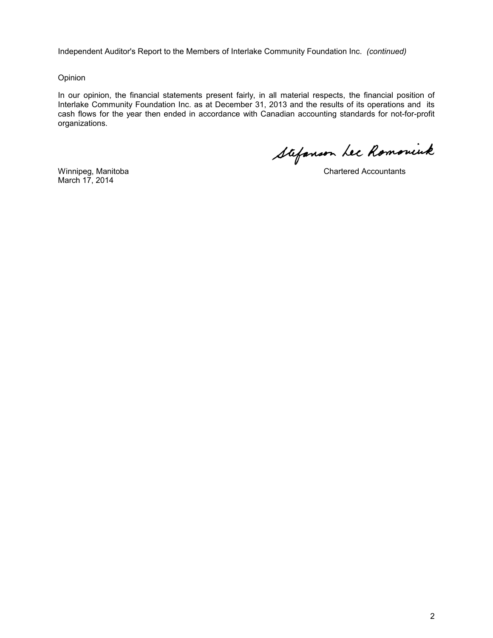Independent Auditor's Report to the Members of Interlake Community Foundation Inc. *(continued)*

#### Opinion

In our opinion, the financial statements present fairly, in all material respects, the financial position of Interlake Community Foundation Inc. as at December 31, 2013 and the results of its operations and its cash flows for the year then ended in accordance with Canadian accounting standards for not-for-profit organizations.

Stefanson Lee Romoniuk

March 17, 2014

Winnipeg, Manitoba Chartered Accountants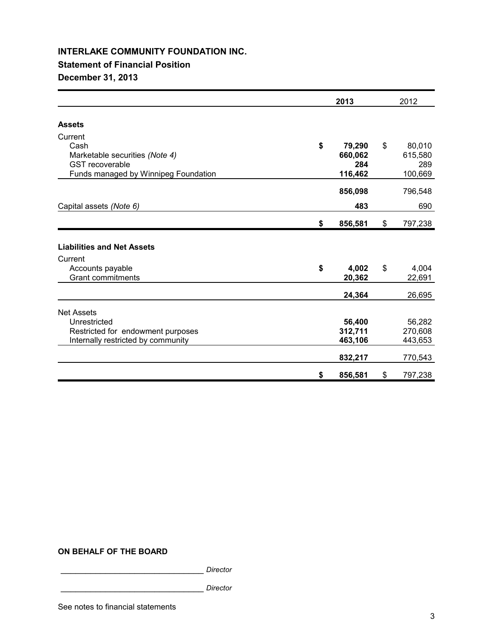## **Statement of Financial Position**

## **December 31, 2013**

|                                      | 2013          | 2012          |
|--------------------------------------|---------------|---------------|
| <b>Assets</b>                        |               |               |
| Current                              |               |               |
| Cash                                 | \$<br>79,290  | \$<br>80,010  |
| Marketable securities (Note 4)       | 660,062       | 615,580       |
| <b>GST</b> recoverable               | 284           | 289           |
| Funds managed by Winnipeg Foundation | 116,462       | 100,669       |
|                                      | 856,098       | 796,548       |
| Capital assets (Note 6)              | 483           | 690           |
|                                      | \$<br>856,581 | \$<br>797,238 |
| <b>Liabilities and Net Assets</b>    |               |               |
| Current                              |               |               |
| Accounts payable                     | \$<br>4,002   | \$<br>4,004   |
| <b>Grant commitments</b>             | 20,362        | 22,691        |
|                                      | 24,364        | 26,695        |
| <b>Net Assets</b>                    |               |               |
| Unrestricted                         | 56,400        | 56,282        |
| Restricted for endowment purposes    | 312,711       | 270,608       |
| Internally restricted by community   | 463,106       | 443,653       |
|                                      | 832,217       | 770,543       |
|                                      | \$<br>856,581 | \$<br>797,238 |

### **ON BEHALF OF THE BOARD**

\_\_\_\_\_\_\_\_\_\_\_\_\_\_\_\_\_\_\_\_\_\_\_\_\_\_\_\_\_ *Director*

\_\_\_\_\_\_\_\_\_\_\_\_\_\_\_\_\_\_\_\_\_\_\_\_\_\_\_\_\_ *Director*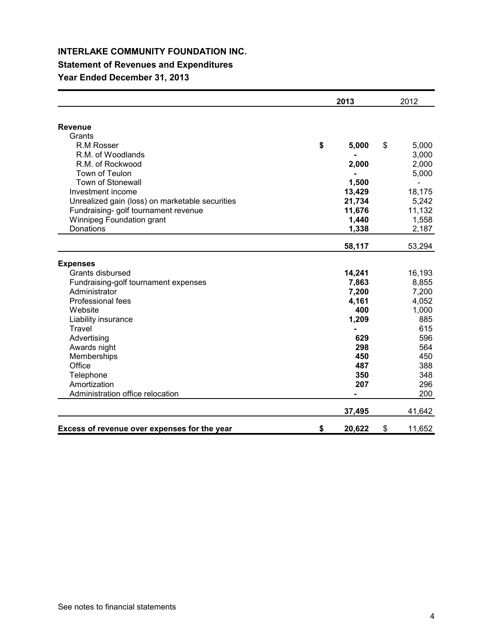# **Statement of Revenues and Expenditures**

# **Year Ended December 31, 2013**

|                                                 | 2013         | 2012         |
|-------------------------------------------------|--------------|--------------|
| <b>Revenue</b>                                  |              |              |
| Grants                                          |              |              |
| R.M Rosser                                      | \$<br>5,000  | \$<br>5,000  |
| R.M. of Woodlands                               |              | 3,000        |
| R.M. of Rockwood                                | 2,000        | 2,000        |
| Town of Teulon                                  |              | 5,000        |
| <b>Town of Stonewall</b>                        | 1,500        |              |
| Investment income                               | 13,429       | 18,175       |
| Unrealized gain (loss) on marketable securities | 21,734       | 5,242        |
| Fundraising- golf tournament revenue            | 11,676       | 11,132       |
| Winnipeg Foundation grant                       | 1,440        | 1,558        |
| Donations                                       | 1,338        | 2,187        |
|                                                 | 58,117       | 53,294       |
|                                                 |              |              |
| <b>Expenses</b>                                 |              |              |
| <b>Grants disbursed</b>                         | 14,241       | 16,193       |
| Fundraising-golf tournament expenses            | 7,863        | 8,855        |
| Administrator                                   | 7,200        | 7,200        |
| Professional fees                               | 4,161        | 4,052        |
| Website                                         | 400          | 1,000        |
| Liability insurance                             | 1,209        | 885          |
| Travel                                          |              | 615          |
| Advertising                                     | 629          | 596          |
| Awards night                                    | 298          | 564          |
| Memberships                                     | 450          | 450          |
| Office                                          | 487          | 388          |
| Telephone                                       | 350          | 348          |
| Amortization                                    | 207          | 296          |
| Administration office relocation                |              | 200          |
|                                                 | 37,495       | 41,642       |
| Excess of revenue over expenses for the year    | \$<br>20,622 | \$<br>11,652 |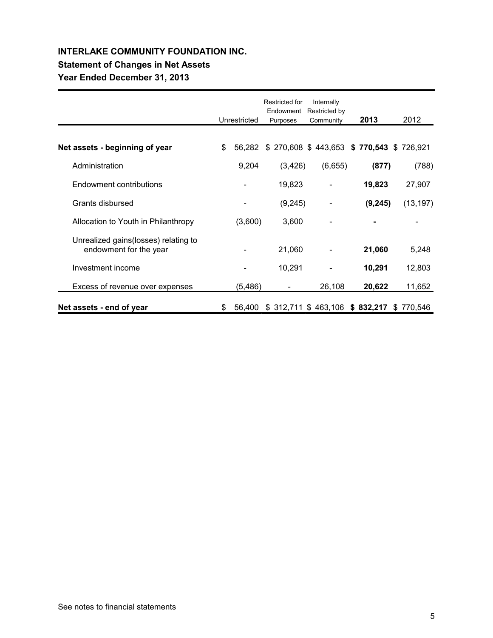# **Statement of Changes in Net Assets**

**Year Ended December 31, 2013**

|                                                                 |    | Unrestricted             | Restricted for<br>Endowment<br>Purposes | Internally<br>Restricted by<br>Community | 2013                | 2012      |
|-----------------------------------------------------------------|----|--------------------------|-----------------------------------------|------------------------------------------|---------------------|-----------|
|                                                                 |    |                          |                                         |                                          |                     |           |
| Net assets - beginning of year                                  | \$ | 56.282                   |                                         | $$270,608$ $$443,653$                    | \$770,543 \$726,921 |           |
| Administration                                                  |    | 9,204                    | (3, 426)                                | (6,655)                                  | (877)               | (788)     |
| Endowment contributions                                         |    | $\overline{\phantom{a}}$ | 19,823                                  |                                          | 19,823              | 27,907    |
| Grants disbursed                                                |    |                          | (9,245)                                 |                                          | (9,245)             | (13, 197) |
| Allocation to Youth in Philanthropy                             |    | (3,600)                  | 3,600                                   |                                          |                     |           |
| Unrealized gains (losses) relating to<br>endowment for the year |    |                          | 21,060                                  |                                          | 21,060              | 5,248     |
| Investment income                                               |    |                          | 10,291                                  |                                          | 10,291              | 12,803    |
| Excess of revenue over expenses                                 |    | (5, 486)                 |                                         | 26,108                                   | 20,622              | 11,652    |
| Net assets - end of year                                        | S. | 56.400                   |                                         | $$312,711$ $$463,106$ $$832,217$         |                     | \$770,546 |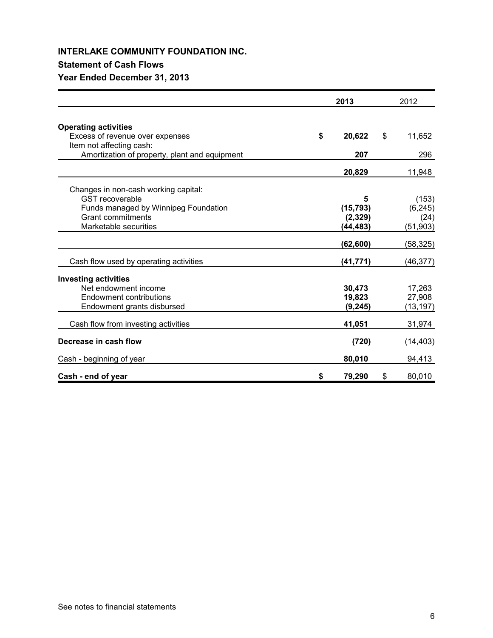# **Statement of Cash Flows**

# **Year Ended December 31, 2013**

|                                                             | 2013         | 2012         |
|-------------------------------------------------------------|--------------|--------------|
| <b>Operating activities</b>                                 | \$<br>20,622 |              |
| Excess of revenue over expenses<br>Item not affecting cash: |              | \$<br>11,652 |
| Amortization of property, plant and equipment               | 207          | 296          |
|                                                             | 20,829       | 11,948       |
| Changes in non-cash working capital:                        |              |              |
| <b>GST</b> recoverable                                      | 5            | (153)        |
| Funds managed by Winnipeg Foundation                        | (15, 793)    | (6, 245)     |
| <b>Grant commitments</b>                                    | (2,329)      | (24)         |
| Marketable securities                                       | (44,483)     | (51, 903)    |
|                                                             | (62, 600)    | (58,325)     |
| Cash flow used by operating activities                      | (41, 771)    | (46, 377)    |
| <b>Investing activities</b>                                 |              |              |
| Net endowment income                                        | 30,473       | 17,263       |
| Endowment contributions                                     | 19,823       | 27,908       |
| Endowment grants disbursed                                  | (9, 245)     | (13, 197)    |
| Cash flow from investing activities                         | 41,051       | 31,974       |
| Decrease in cash flow                                       | (720)        | (14, 403)    |
| Cash - beginning of year                                    | 80,010       | 94,413       |
| Cash - end of year                                          | \$<br>79,290 | \$<br>80,010 |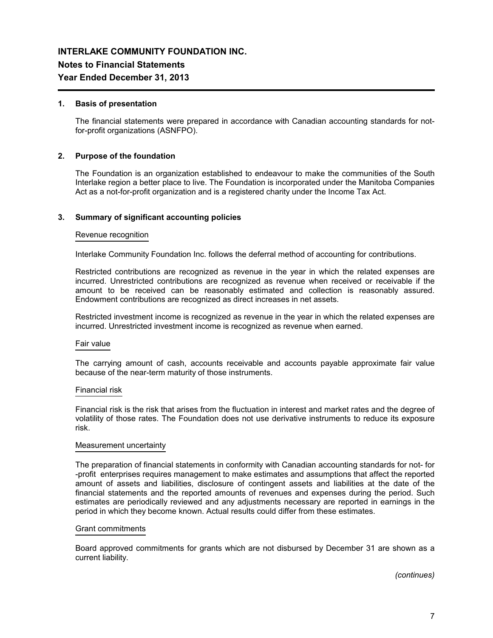## **Notes to Financial Statements**

## **Year Ended December 31, 2013**

#### **1. Basis of presentation**

The financial statements were prepared in accordance with Canadian accounting standards for notfor-profit organizations (ASNFPO).

#### **2. Purpose of the foundation**

The Foundation is an organization established to endeavour to make the communities of the South Interlake region a better place to live. The Foundation is incorporated under the Manitoba Companies Act as a not-for-profit organization and is a registered charity under the Income Tax Act.

#### **3. Summary of significant accounting policies**

#### Revenue recognition

Interlake Community Foundation Inc. follows the deferral method of accounting for contributions.

Restricted contributions are recognized as revenue in the year in which the related expenses are incurred. Unrestricted contributions are recognized as revenue when received or receivable if the amount to be received can be reasonably estimated and collection is reasonably assured. Endowment contributions are recognized as direct increases in net assets.

Restricted investment income is recognized as revenue in the year in which the related expenses are incurred. Unrestricted investment income is recognized as revenue when earned.

#### Fair value

The carrying amount of cash, accounts receivable and accounts payable approximate fair value because of the near-term maturity of those instruments.

#### Financial risk

Financial risk is the risk that arises from the fluctuation in interest and market rates and the degree of volatility of those rates. The Foundation does not use derivative instruments to reduce its exposure risk.

#### Measurement uncertainty

The preparation of financial statements in conformity with Canadian accounting standards for not- for -profit enterprises requires management to make estimates and assumptions that affect the reported amount of assets and liabilities, disclosure of contingent assets and liabilities at the date of the financial statements and the reported amounts of revenues and expenses during the period. Such estimates are periodically reviewed and any adjustments necessary are reported in earnings in the period in which they become known. Actual results could differ from these estimates.

#### Grant commitments

Board approved commitments for grants which are not disbursed by December 31 are shown as a current liability.

*(continues)*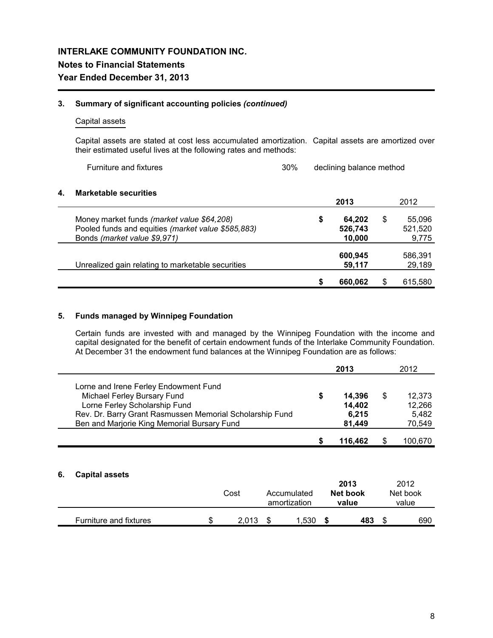#### **3. Summary of significant accounting policies** *(continued)*

### Capital assets

Capital assets are stated at cost less accumulated amortization. Capital assets are amortized over their estimated useful lives at the following rates and methods:

| Furniture and fixtures |  | declining balance method |
|------------------------|--|--------------------------|
|------------------------|--|--------------------------|

## **4. Marketable securities**

|                                                                                                  | 2013 |                   | 2012                    |
|--------------------------------------------------------------------------------------------------|------|-------------------|-------------------------|
| Money market funds (market value \$64,208)<br>Pooled funds and equities (market value \$585,883) | S    | 64.202<br>526,743 | \$<br>55,096<br>521,520 |
| Bonds (market value \$9,971)                                                                     |      | 10,000            | 9,775                   |
| Unrealized gain relating to marketable securities                                                |      | 600,945<br>59,117 | 586.391<br>29,189       |
|                                                                                                  |      | 660.062           | 615,580                 |

### **5. Funds managed by Winnipeg Foundation**

Certain funds are invested with and managed by the Winnipeg Foundation with the income and capital designated for the benefit of certain endowment funds of the Interlake Community Foundation. At December 31 the endowment fund balances at the Winnipeg Foundation are as follows:

|    |                                                                                                                                                                                                                  |    | 2013                                |   | 2012                                |
|----|------------------------------------------------------------------------------------------------------------------------------------------------------------------------------------------------------------------|----|-------------------------------------|---|-------------------------------------|
|    | Lorne and Irene Ferley Endowment Fund<br>Michael Ferley Bursary Fund<br>Lorne Ferley Scholarship Fund<br>Rev. Dr. Barry Grant Rasmussen Memorial Scholarship Fund<br>Ben and Marjorie King Memorial Bursary Fund | \$ | 14,396<br>14,402<br>6,215<br>81,449 | S | 12,373<br>12,266<br>5,482<br>70,549 |
|    |                                                                                                                                                                                                                  | S  | 116,462                             |   | 100,670                             |
| 6. | <b>Capital assets</b>                                                                                                                                                                                            |    | 2013                                |   | 2012                                |

|                        | Cost        | Accumulated<br>amortization |       | ---<br>Net book<br>value | - - - - -<br>Net book<br>value |
|------------------------|-------------|-----------------------------|-------|--------------------------|--------------------------------|
| Furniture and fixtures | \$<br>2,013 |                             | 1.530 | 483                      | 690                            |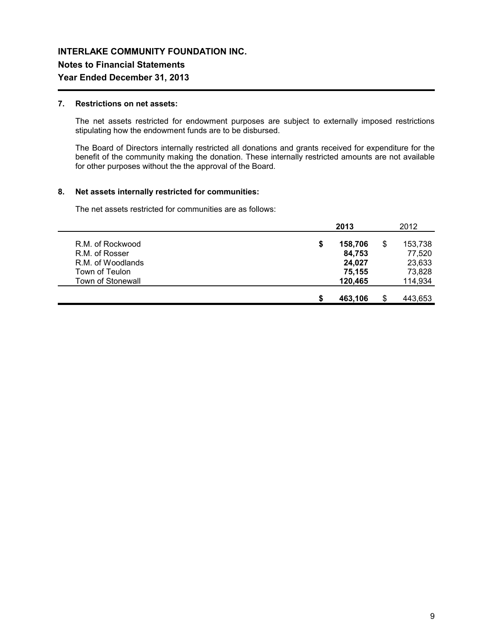## **Notes to Financial Statements**

## **Year Ended December 31, 2013**

### **7. Restrictions on net assets:**

The net assets restricted for endowment purposes are subject to externally imposed restrictions stipulating how the endowment funds are to be disbursed.

The Board of Directors internally restricted all donations and grants received for expenditure for the benefit of the community making the donation. These internally restricted amounts are not available for other purposes without the the approval of the Board.

#### **8. Net assets internally restricted for communities:**

The net assets restricted for communities are as follows:

|                          |    | 2013    |   | 2012    |
|--------------------------|----|---------|---|---------|
| R.M. of Rockwood         | \$ | 158.706 | S | 153,738 |
| R.M. of Rosser           |    | 84,753  |   | 77,520  |
| R.M. of Woodlands        |    | 24,027  |   | 23,633  |
| Town of Teulon           |    | 75.155  |   | 73,828  |
| <b>Town of Stonewall</b> |    | 120,465 |   | 114,934 |
|                          | S  | 463,106 |   | 443,653 |